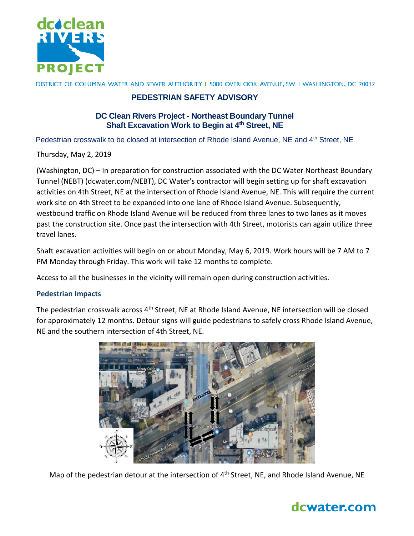

DISTRICT OF COLUMBIA WATER AND SEWER AUTHORITY I 5000 OVERLOOK AVENUE, SW I WASHINGTON, DC 20032

## **PEDESTRIAN SAFETY ADVISORY**

### **DC Clean Rivers Project - Northeast Boundary Tunnel Shaft Excavation Work to Begin at 4th Street, NE**

Pedestrian crosswalk to be closed at intersection of Rhode Island Avenue, NE and 4<sup>th</sup> Street, NE

Thursday, May 2, 2019

(Washington, DC) – In preparation for construction associated with the DC Water Northeast Boundary Tunnel (NEBT) (dcwater.com/NEBT), DC Water's contractor will begin setting up for shaft excavation activities on 4th Street, NE at the intersection of Rhode Island Avenue, NE. This will require the current work site on 4th Street to be expanded into one lane of Rhode Island Avenue. Subsequently, westbound traffic on Rhode Island Avenue will be reduced from three lanes to two lanes as it moves past the construction site. Once past the intersection with 4th Street, motorists can again utilize three travel lanes.

Shaft excavation activities will begin on or about Monday, May 6, 2019. Work hours will be 7 AM to 7 PM Monday through Friday. This work will take 12 months to complete.

Access to all the businesses in the vicinity will remain open during construction activities.

#### **Pedestrian Impacts**

The pedestrian crosswalk across 4<sup>th</sup> Street, NE at Rhode Island Avenue, NE intersection will be closed for approximately 12 months. Detour signs will guide pedestrians to safely cross Rhode Island Avenue, NE and the southern intersection of 4th Street, NE.



Map of the pedestrian detour at the intersection of 4<sup>th</sup> Street, NE, and Rhode Island Avenue, NE

# dcwater.com